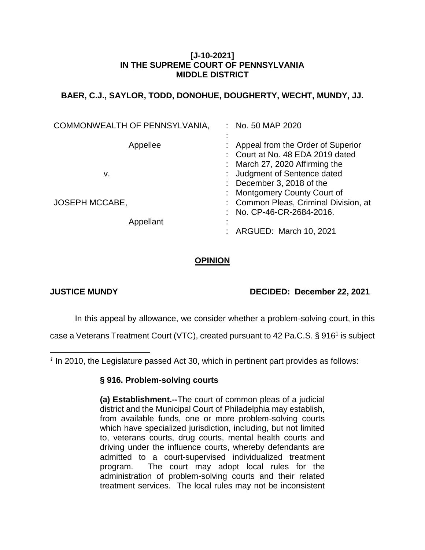## **[J-10-2021] IN THE SUPREME COURT OF PENNSYLVANIA MIDDLE DISTRICT**

# **BAER, C.J., SAYLOR, TODD, DONOHUE, DOUGHERTY, WECHT, MUNDY, JJ.**

| COMMONWEALTH OF PENNSYLVANIA,      | No. 50 MAP 2020                                                                                                                                                |
|------------------------------------|----------------------------------------------------------------------------------------------------------------------------------------------------------------|
| Appellee<br>v.                     | Appeal from the Order of Superior<br>: Court at No. 48 EDA 2019 dated<br>March 27, 2020 Affirming the<br>Judgment of Sentence dated<br>December 3, 2018 of the |
| <b>JOSEPH MCCABE,</b><br>Appellant | <b>Montgomery County Court of</b><br>: Common Pleas, Criminal Division, at<br>No. CP-46-CR-2684-2016.                                                          |
|                                    | ARGUED: March 10, 2021                                                                                                                                         |

# **OPINION**

 $\overline{a}$ 

# **JUSTICE MUNDY DECIDED: December 22, 2021**

In this appeal by allowance, we consider whether a problem-solving court, in this

case a Veterans Treatment Court (VTC), created pursuant to 42 Pa.C.S. § 916<sup>1</sup> is subject

*1* In 2010, the Legislature passed Act 30, which in pertinent part provides as follows:

## **§ 916. Problem-solving courts**

**(a) Establishment.--**The court of common pleas of a judicial district and the Municipal Court of Philadelphia may establish, from available funds, one or more problem-solving courts which have specialized jurisdiction, including, but not limited to, veterans courts, drug courts, mental health courts and driving under the influence courts, whereby defendants are admitted to a court-supervised individualized treatment program. The court may adopt local rules for the administration of problem-solving courts and their related treatment services. The local rules may not be inconsistent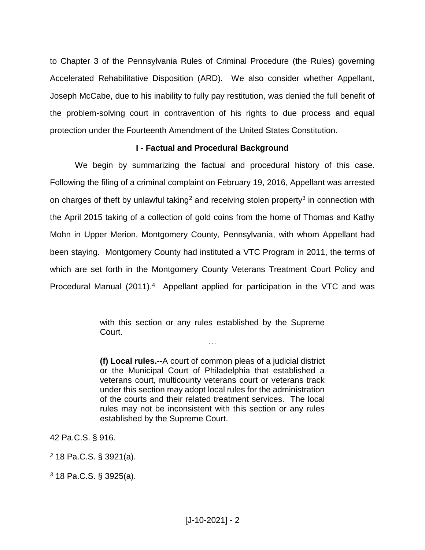to Chapter 3 of the Pennsylvania Rules of Criminal Procedure (the Rules) governing Accelerated Rehabilitative Disposition (ARD). We also consider whether Appellant, Joseph McCabe, due to his inability to fully pay restitution, was denied the full benefit of the problem-solving court in contravention of his rights to due process and equal protection under the Fourteenth Amendment of the United States Constitution.

### **I - Factual and Procedural Background**

We begin by summarizing the factual and procedural history of this case. Following the filing of a criminal complaint on February 19, 2016, Appellant was arrested on charges of theft by unlawful taking<sup>2</sup> and receiving stolen property<sup>3</sup> in connection with the April 2015 taking of a collection of gold coins from the home of Thomas and Kathy Mohn in Upper Merion, Montgomery County, Pennsylvania, with whom Appellant had been staying. Montgomery County had instituted a VTC Program in 2011, the terms of which are set forth in the Montgomery County Veterans Treatment Court Policy and Procedural Manual (2011).<sup>4</sup> Appellant applied for participation in the VTC and was

…

42 Pa.C.S. § 916.

 $\overline{a}$ 

*<sup>2</sup>* 18 Pa.C.S. § 3921(a).

with this section or any rules established by the Supreme Court.

**<sup>(</sup>f) Local rules.--**A court of common pleas of a judicial district or the Municipal Court of Philadelphia that established a veterans court, multicounty veterans court or veterans track under this section may adopt local rules for the administration of the courts and their related treatment services. The local rules may not be inconsistent with this section or any rules established by the Supreme Court.

*<sup>3</sup>* 18 Pa.C.S. § 3925(a).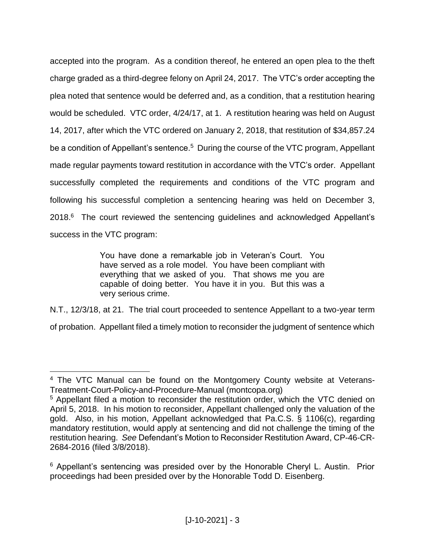accepted into the program. As a condition thereof, he entered an open plea to the theft charge graded as a third-degree felony on April 24, 2017. The VTC's order accepting the plea noted that sentence would be deferred and, as a condition, that a restitution hearing would be scheduled. VTC order, 4/24/17, at 1. A restitution hearing was held on August 14, 2017, after which the VTC ordered on January 2, 2018, that restitution of \$34,857.24 be a condition of Appellant's sentence.<sup>5</sup> During the course of the VTC program, Appellant made regular payments toward restitution in accordance with the VTC's order. Appellant successfully completed the requirements and conditions of the VTC program and following his successful completion a sentencing hearing was held on December 3, 2018.<sup>6</sup> The court reviewed the sentencing guidelines and acknowledged Appellant's success in the VTC program:

> You have done a remarkable job in Veteran's Court. You have served as a role model. You have been compliant with everything that we asked of you. That shows me you are capable of doing better. You have it in you. But this was a very serious crime.

N.T., 12/3/18, at 21. The trial court proceeded to sentence Appellant to a two-year term of probation. Appellant filed a timely motion to reconsider the judgment of sentence which

<sup>4</sup> The VTC Manual can be found on the Montgomery County website at Veterans-Treatment-Court-Policy-and-Procedure-Manual (montcopa.org)

<sup>&</sup>lt;sup>5</sup> Appellant filed a motion to reconsider the restitution order, which the VTC denied on April 5, 2018. In his motion to reconsider, Appellant challenged only the valuation of the gold. Also, in his motion, Appellant acknowledged that Pa.C.S. § 1106(c), regarding mandatory restitution, would apply at sentencing and did not challenge the timing of the restitution hearing. *See* Defendant's Motion to Reconsider Restitution Award, CP-46-CR-2684-2016 (filed 3/8/2018).

<sup>&</sup>lt;sup>6</sup> Appellant's sentencing was presided over by the Honorable Cheryl L. Austin. Prior proceedings had been presided over by the Honorable Todd D. Eisenberg.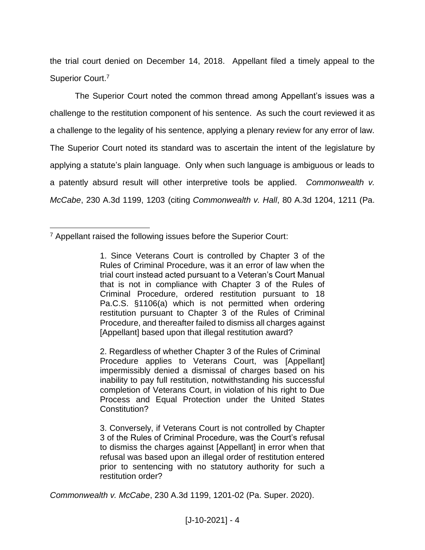the trial court denied on December 14, 2018. Appellant filed a timely appeal to the Superior Court.<sup>7</sup>

The Superior Court noted the common thread among Appellant's issues was a challenge to the restitution component of his sentence. As such the court reviewed it as a challenge to the legality of his sentence, applying a plenary review for any error of law. The Superior Court noted its standard was to ascertain the intent of the legislature by applying a statute's plain language. Only when such language is ambiguous or leads to a patently absurd result will other interpretive tools be applied. *Commonwealth v. McCabe*, 230 A.3d 1199, 1203 (citing *Commonwealth v. Hall*, 80 A.3d 1204, 1211 (Pa.

 $\overline{a}$ 

2. Regardless of whether Chapter 3 of the Rules of Criminal Procedure applies to Veterans Court, was [Appellant] impermissibly denied a dismissal of charges based on his inability to pay full restitution, notwithstanding his successful completion of Veterans Court, in violation of his right to Due Process and Equal Protection under the United States Constitution?

3. Conversely, if Veterans Court is not controlled by Chapter 3 of the Rules of Criminal Procedure, was the Court's refusal to dismiss the charges against [Appellant] in error when that refusal was based upon an illegal order of restitution entered prior to sentencing with no statutory authority for such a restitution order?

*Commonwealth v. McCabe*, 230 A.3d 1199, 1201-02 (Pa. Super. 2020).

<sup>7</sup> Appellant raised the following issues before the Superior Court:

<sup>1.</sup> Since Veterans Court is controlled by Chapter 3 of the Rules of Criminal Procedure, was it an error of law when the trial court instead acted pursuant to a Veteran's Court Manual that is not in compliance with Chapter 3 of the Rules of Criminal Procedure, ordered restitution pursuant to 18 Pa.C.S. §1106(a) which is not permitted when ordering restitution pursuant to Chapter 3 of the Rules of Criminal Procedure, and thereafter failed to dismiss all charges against [Appellant] based upon that illegal restitution award?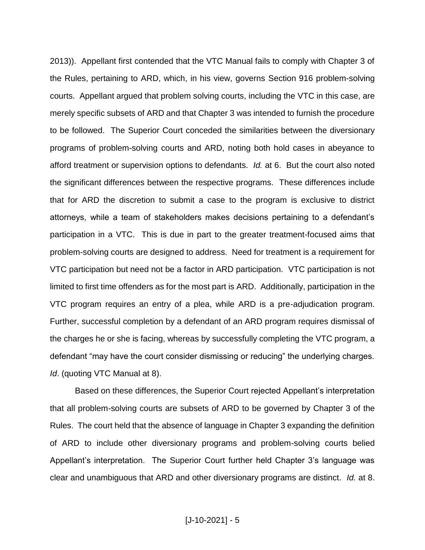2013)). Appellant first contended that the VTC Manual fails to comply with Chapter 3 of the Rules, pertaining to ARD, which, in his view, governs Section 916 problem-solving courts. Appellant argued that problem solving courts, including the VTC in this case, are merely specific subsets of ARD and that Chapter 3 was intended to furnish the procedure to be followed. The Superior Court conceded the similarities between the diversionary programs of problem-solving courts and ARD, noting both hold cases in abeyance to afford treatment or supervision options to defendants. *Id.* at 6. But the court also noted the significant differences between the respective programs. These differences include that for ARD the discretion to submit a case to the program is exclusive to district attorneys, while a team of stakeholders makes decisions pertaining to a defendant's participation in a VTC. This is due in part to the greater treatment-focused aims that problem-solving courts are designed to address. Need for treatment is a requirement for VTC participation but need not be a factor in ARD participation. VTC participation is not limited to first time offenders as for the most part is ARD. Additionally, participation in the VTC program requires an entry of a plea, while ARD is a pre-adjudication program. Further, successful completion by a defendant of an ARD program requires dismissal of the charges he or she is facing, whereas by successfully completing the VTC program, a defendant "may have the court consider dismissing or reducing" the underlying charges. *Id*. (quoting VTC Manual at 8).

Based on these differences, the Superior Court rejected Appellant's interpretation that all problem-solving courts are subsets of ARD to be governed by Chapter 3 of the Rules. The court held that the absence of language in Chapter 3 expanding the definition of ARD to include other diversionary programs and problem-solving courts belied Appellant's interpretation. The Superior Court further held Chapter 3's language was clear and unambiguous that ARD and other diversionary programs are distinct. *Id.* at 8.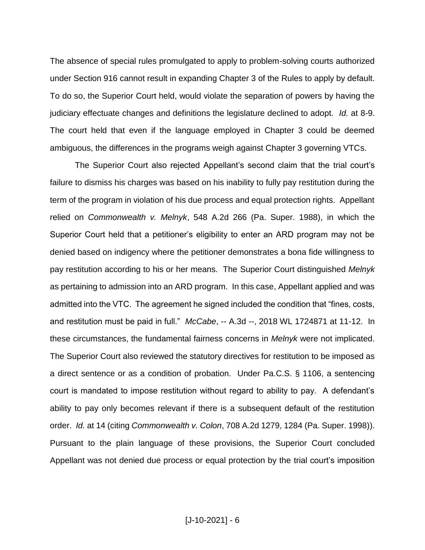The absence of special rules promulgated to apply to problem-solving courts authorized under Section 916 cannot result in expanding Chapter 3 of the Rules to apply by default. To do so, the Superior Court held, would violate the separation of powers by having the judiciary effectuate changes and definitions the legislature declined to adopt. *Id.* at 8-9. The court held that even if the language employed in Chapter 3 could be deemed ambiguous, the differences in the programs weigh against Chapter 3 governing VTCs.

The Superior Court also rejected Appellant's second claim that the trial court's failure to dismiss his charges was based on his inability to fully pay restitution during the term of the program in violation of his due process and equal protection rights. Appellant relied on *Commonwealth v. Melnyk*, 548 A.2d 266 (Pa. Super. 1988), in which the Superior Court held that a petitioner's eligibility to enter an ARD program may not be denied based on indigency where the petitioner demonstrates a bona fide willingness to pay restitution according to his or her means. The Superior Court distinguished *Melnyk* as pertaining to admission into an ARD program. In this case, Appellant applied and was admitted into the VTC. The agreement he signed included the condition that "fines, costs, and restitution must be paid in full." *McCabe*, -- A.3d --, 2018 WL 1724871 at 11-12. In these circumstances, the fundamental fairness concerns in *Melnyk* were not implicated. The Superior Court also reviewed the statutory directives for restitution to be imposed as a direct sentence or as a condition of probation. Under Pa.C.S. § 1106, a sentencing court is mandated to impose restitution without regard to ability to pay. A defendant's ability to pay only becomes relevant if there is a subsequent default of the restitution order. *Id.* at 14 (citing *Commonwealth v. Colon*, 708 A.2d 1279, 1284 (Pa. Super. 1998)). Pursuant to the plain language of these provisions, the Superior Court concluded Appellant was not denied due process or equal protection by the trial court's imposition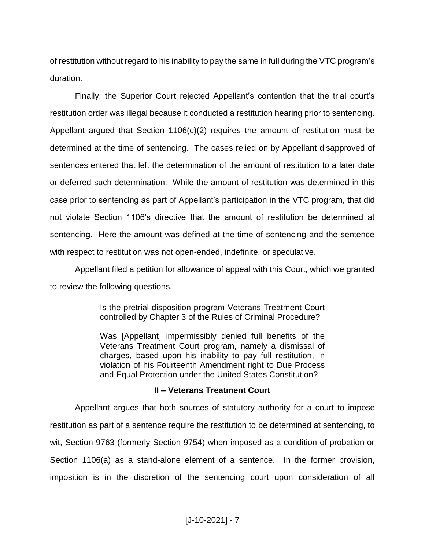of restitution without regard to his inability to pay the same in full during the VTC program's duration.

Finally, the Superior Court rejected Appellant's contention that the trial court's restitution order was illegal because it conducted a restitution hearing prior to sentencing. Appellant argued that Section 1106(c)(2) requires the amount of restitution must be determined at the time of sentencing. The cases relied on by Appellant disapproved of sentences entered that left the determination of the amount of restitution to a later date or deferred such determination. While the amount of restitution was determined in this case prior to sentencing as part of Appellant's participation in the VTC program, that did not violate Section 1106's directive that the amount of restitution be determined at sentencing. Here the amount was defined at the time of sentencing and the sentence with respect to restitution was not open-ended, indefinite, or speculative.

Appellant filed a petition for allowance of appeal with this Court, which we granted to review the following questions.

> Is the pretrial disposition program Veterans Treatment Court controlled by Chapter 3 of the Rules of Criminal Procedure?

> Was [Appellant] impermissibly denied full benefits of the Veterans Treatment Court program, namely a dismissal of charges, based upon his inability to pay full restitution, in violation of his Fourteenth Amendment right to Due Process and Equal Protection under the United States Constitution?

## **II – Veterans Treatment Court**

Appellant argues that both sources of statutory authority for a court to impose restitution as part of a sentence require the restitution to be determined at sentencing, to wit, Section 9763 (formerly Section 9754) when imposed as a condition of probation or Section 1106(a) as a stand-alone element of a sentence. In the former provision, imposition is in the discretion of the sentencing court upon consideration of all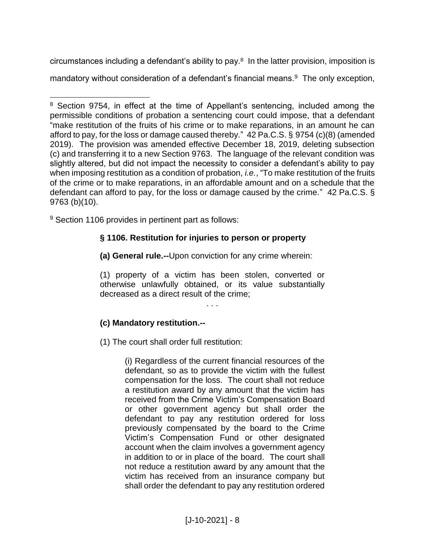circumstances including a defendant's ability to pay.8 In the latter provision, imposition is mandatory without consideration of a defendant's financial means.<sup>9</sup> The only exception,

<sup>9</sup> Section 1106 provides in pertinent part as follows:

# **§ 1106. Restitution for injuries to person or property**

**(a) General rule.--**Upon conviction for any crime wherein:

(1) property of a victim has been stolen, converted or otherwise unlawfully obtained, or its value substantially decreased as a direct result of the crime;

. . .

# **(c) Mandatory restitution.--**

(1) The court shall order full restitution:

(i) Regardless of the current financial resources of the defendant, so as to provide the victim with the fullest compensation for the loss. The court shall not reduce a restitution award by any amount that the victim has received from the Crime Victim's Compensation Board or other government agency but shall order the defendant to pay any restitution ordered for loss previously compensated by the board to the Crime Victim's Compensation Fund or other designated account when the claim involves a government agency in addition to or in place of the board. The court shall not reduce a restitution award by any amount that the victim has received from an insurance company but shall order the defendant to pay any restitution ordered

 $\overline{a}$ <sup>8</sup> Section 9754, in effect at the time of Appellant's sentencing, included among the permissible conditions of probation a sentencing court could impose, that a defendant "make restitution of the fruits of his crime or to make reparations, in an amount he can afford to pay, for the loss or damage caused thereby." 42 Pa.C.S. § 9754 (c)(8) (amended 2019). The provision was amended effective December 18, 2019, deleting subsection (c) and transferring it to a new Section 9763. The language of the relevant condition was slightly altered, but did not impact the necessity to consider a defendant's ability to pay when imposing restitution as a condition of probation, *i.e.*, "To make restitution of the fruits of the crime or to make reparations, in an affordable amount and on a schedule that the defendant can afford to pay, for the loss or damage caused by the crime." 42 Pa.C.S. § 9763 (b)(10).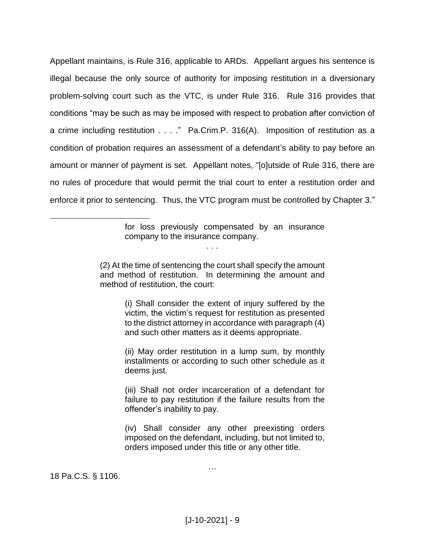Appellant maintains, is Rule 316, applicable to ARDs. Appellant argues his sentence is illegal because the only source of authority for imposing restitution in a diversionary problem-solving court such as the VTC, is under Rule 316. Rule 316 provides that conditions "may be such as may be imposed with respect to probation after conviction of a crime including restitution . . . ." Pa.Crim.P. 316(A). Imposition of restitution as a condition of probation requires an assessment of a defendant's ability to pay before an amount or manner of payment is set. Appellant notes, "[o]utside of Rule 316, there are no rules of procedure that would permit the trial court to enter a restitution order and enforce it prior to sentencing. Thus, the VTC program must be controlled by Chapter 3."

> for loss previously compensated by an insurance company to the insurance company.

(2) At the time of sentencing the court shall specify the amount and method of restitution. In determining the amount and method of restitution, the court:

. . .

(i) Shall consider the extent of injury suffered by the victim, the victim's request for restitution as presented to the district attorney in accordance with paragraph (4) and such other matters as it deems appropriate.

(ii) May order restitution in a lump sum, by monthly installments or according to such other schedule as it deems just.

(iii) Shall not order incarceration of a defendant for failure to pay restitution if the failure results from the offender's inability to pay.

(iv) Shall consider any other preexisting orders imposed on the defendant, including, but not limited to, orders imposed under this title or any other title.

…

18 Pa.C.S. § 1106.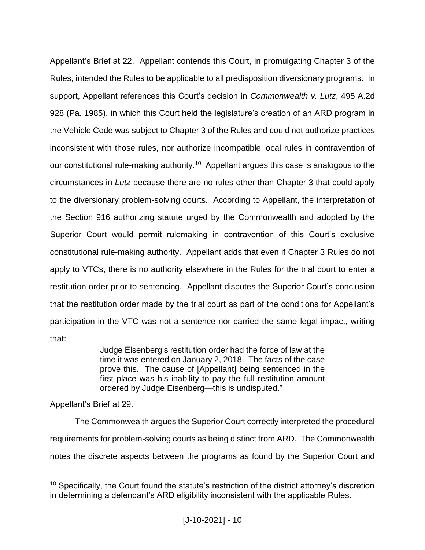Appellant's Brief at 22. Appellant contends this Court, in promulgating Chapter 3 of the Rules, intended the Rules to be applicable to all predisposition diversionary programs. In support, Appellant references this Court's decision in *Commonwealth v. Lutz*, 495 A.2d 928 (Pa. 1985), in which this Court held the legislature's creation of an ARD program in the Vehicle Code was subject to Chapter 3 of the Rules and could not authorize practices inconsistent with those rules, nor authorize incompatible local rules in contravention of our constitutional rule-making authority.<sup>10</sup> Appellant argues this case is analogous to the circumstances in *Lutz* because there are no rules other than Chapter 3 that could apply to the diversionary problem-solving courts. According to Appellant, the interpretation of the Section 916 authorizing statute urged by the Commonwealth and adopted by the Superior Court would permit rulemaking in contravention of this Court's exclusive constitutional rule-making authority. Appellant adds that even if Chapter 3 Rules do not apply to VTCs, there is no authority elsewhere in the Rules for the trial court to enter a restitution order prior to sentencing. Appellant disputes the Superior Court's conclusion that the restitution order made by the trial court as part of the conditions for Appellant's participation in the VTC was not a sentence nor carried the same legal impact, writing that:

> Judge Eisenberg's restitution order had the force of law at the time it was entered on January 2, 2018. The facts of the case prove this. The cause of [Appellant] being sentenced in the first place was his inability to pay the full restitution amount ordered by Judge Eisenberg—this is undisputed."

Appellant's Brief at 29.

 $\overline{a}$ 

The Commonwealth argues the Superior Court correctly interpreted the procedural requirements for problem-solving courts as being distinct from ARD. The Commonwealth notes the discrete aspects between the programs as found by the Superior Court and

<sup>&</sup>lt;sup>10</sup> Specifically, the Court found the statute's restriction of the district attorney's discretion in determining a defendant's ARD eligibility inconsistent with the applicable Rules.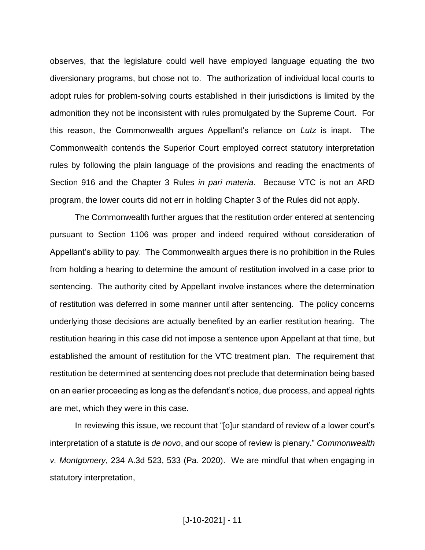observes, that the legislature could well have employed language equating the two diversionary programs, but chose not to. The authorization of individual local courts to adopt rules for problem-solving courts established in their jurisdictions is limited by the admonition they not be inconsistent with rules promulgated by the Supreme Court. For this reason, the Commonwealth argues Appellant's reliance on *Lutz* is inapt. The Commonwealth contends the Superior Court employed correct statutory interpretation rules by following the plain language of the provisions and reading the enactments of Section 916 and the Chapter 3 Rules *in pari materia*. Because VTC is not an ARD program, the lower courts did not err in holding Chapter 3 of the Rules did not apply.

The Commonwealth further argues that the restitution order entered at sentencing pursuant to Section 1106 was proper and indeed required without consideration of Appellant's ability to pay. The Commonwealth argues there is no prohibition in the Rules from holding a hearing to determine the amount of restitution involved in a case prior to sentencing. The authority cited by Appellant involve instances where the determination of restitution was deferred in some manner until after sentencing. The policy concerns underlying those decisions are actually benefited by an earlier restitution hearing. The restitution hearing in this case did not impose a sentence upon Appellant at that time, but established the amount of restitution for the VTC treatment plan. The requirement that restitution be determined at sentencing does not preclude that determination being based on an earlier proceeding as long as the defendant's notice, due process, and appeal rights are met, which they were in this case.

In reviewing this issue, we recount that "[o]ur standard of review of a lower court's interpretation of a statute is *de novo*, and our scope of review is plenary." *Commonwealth v. Montgomery*, 234 A.3d 523, 533 (Pa. 2020). We are mindful that when engaging in statutory interpretation,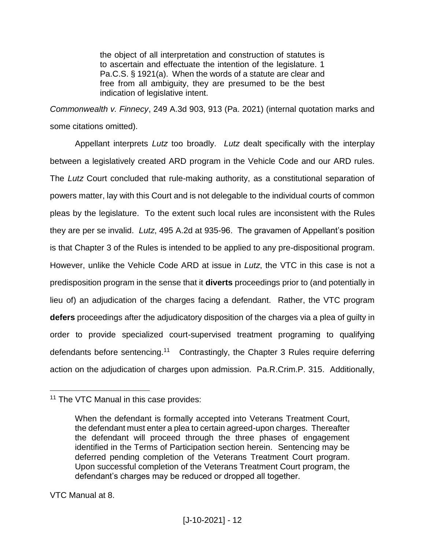the object of all interpretation and construction of statutes is to ascertain and effectuate the intention of the legislature. 1 Pa.C.S. § 1921(a). When the words of a statute are clear and free from all ambiguity, they are presumed to be the best indication of legislative intent.

*Commonwealth v. Finnecy*, 249 A.3d 903, 913 (Pa. 2021) (internal quotation marks and some citations omitted).

Appellant interprets *Lutz* too broadly. *Lutz* dealt specifically with the interplay between a legislatively created ARD program in the Vehicle Code and our ARD rules. The *Lutz* Court concluded that rule-making authority, as a constitutional separation of powers matter, lay with this Court and is not delegable to the individual courts of common pleas by the legislature. To the extent such local rules are inconsistent with the Rules they are per se invalid. *Lutz*, 495 A.2d at 935-96. The gravamen of Appellant's position is that Chapter 3 of the Rules is intended to be applied to any pre-dispositional program. However, unlike the Vehicle Code ARD at issue in *Lutz*, the VTC in this case is not a predisposition program in the sense that it **diverts** proceedings prior to (and potentially in lieu of) an adjudication of the charges facing a defendant. Rather, the VTC program **defers** proceedings after the adjudicatory disposition of the charges via a plea of guilty in order to provide specialized court-supervised treatment programing to qualifying defendants before sentencing.<sup>11</sup> Contrastingly, the Chapter 3 Rules require deferring action on the adjudication of charges upon admission. Pa.R.Crim.P. 315. Additionally,

VTC Manual at 8.

 $\overline{a}$ <sup>11</sup> The VTC Manual in this case provides:

When the defendant is formally accepted into Veterans Treatment Court, the defendant must enter a plea to certain agreed-upon charges. Thereafter the defendant will proceed through the three phases of engagement identified in the Terms of Participation section herein. Sentencing may be deferred pending completion of the Veterans Treatment Court program. Upon successful completion of the Veterans Treatment Court program, the defendant's charges may be reduced or dropped all together.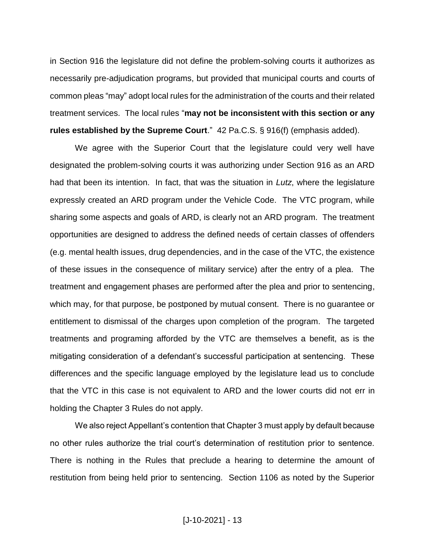in Section 916 the legislature did not define the problem-solving courts it authorizes as necessarily pre-adjudication programs, but provided that municipal courts and courts of common pleas "may" adopt local rules for the administration of the courts and their related treatment services. The local rules "**may not be inconsistent with this section or any rules established by the Supreme Court**." 42 Pa.C.S. § 916(f) (emphasis added).

We agree with the Superior Court that the legislature could very well have designated the problem-solving courts it was authorizing under Section 916 as an ARD had that been its intention. In fact, that was the situation in *Lutz*, where the legislature expressly created an ARD program under the Vehicle Code. The VTC program, while sharing some aspects and goals of ARD, is clearly not an ARD program. The treatment opportunities are designed to address the defined needs of certain classes of offenders (e.g. mental health issues, drug dependencies, and in the case of the VTC, the existence of these issues in the consequence of military service) after the entry of a plea. The treatment and engagement phases are performed after the plea and prior to sentencing, which may, for that purpose, be postponed by mutual consent. There is no guarantee or entitlement to dismissal of the charges upon completion of the program. The targeted treatments and programing afforded by the VTC are themselves a benefit, as is the mitigating consideration of a defendant's successful participation at sentencing. These differences and the specific language employed by the legislature lead us to conclude that the VTC in this case is not equivalent to ARD and the lower courts did not err in holding the Chapter 3 Rules do not apply.

We also reject Appellant's contention that Chapter 3 must apply by default because no other rules authorize the trial court's determination of restitution prior to sentence. There is nothing in the Rules that preclude a hearing to determine the amount of restitution from being held prior to sentencing. Section 1106 as noted by the Superior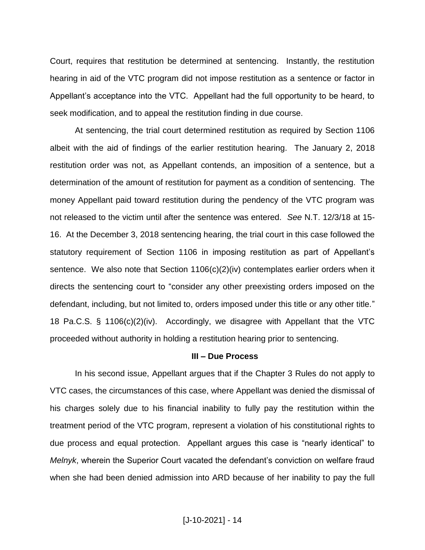Court, requires that restitution be determined at sentencing. Instantly, the restitution hearing in aid of the VTC program did not impose restitution as a sentence or factor in Appellant's acceptance into the VTC. Appellant had the full opportunity to be heard, to seek modification, and to appeal the restitution finding in due course.

At sentencing, the trial court determined restitution as required by Section 1106 albeit with the aid of findings of the earlier restitution hearing. The January 2, 2018 restitution order was not, as Appellant contends, an imposition of a sentence, but a determination of the amount of restitution for payment as a condition of sentencing. The money Appellant paid toward restitution during the pendency of the VTC program was not released to the victim until after the sentence was entered. *See* N.T. 12/3/18 at 15- 16. At the December 3, 2018 sentencing hearing, the trial court in this case followed the statutory requirement of Section 1106 in imposing restitution as part of Appellant's sentence. We also note that Section 1106(c)(2)(iv) contemplates earlier orders when it directs the sentencing court to "consider any other preexisting orders imposed on the defendant, including, but not limited to, orders imposed under this title or any other title." 18 Pa.C.S. § 1106(c)(2)(iv). Accordingly, we disagree with Appellant that the VTC proceeded without authority in holding a restitution hearing prior to sentencing.

#### **III – Due Process**

In his second issue, Appellant argues that if the Chapter 3 Rules do not apply to VTC cases, the circumstances of this case, where Appellant was denied the dismissal of his charges solely due to his financial inability to fully pay the restitution within the treatment period of the VTC program, represent a violation of his constitutional rights to due process and equal protection. Appellant argues this case is "nearly identical" to *Melnyk*, wherein the Superior Court vacated the defendant's conviction on welfare fraud when she had been denied admission into ARD because of her inability to pay the full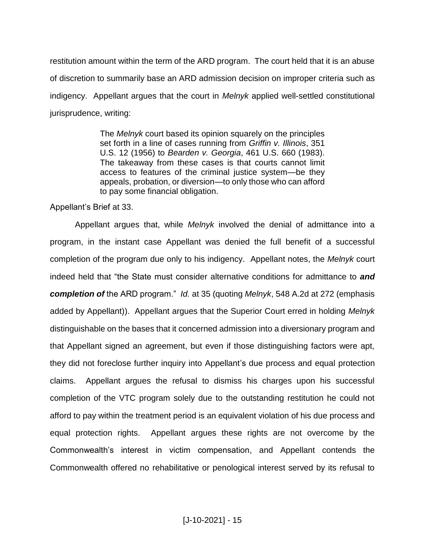restitution amount within the term of the ARD program. The court held that it is an abuse of discretion to summarily base an ARD admission decision on improper criteria such as indigency. Appellant argues that the court in *Melnyk* applied well-settled constitutional jurisprudence, writing:

> The *Melnyk* court based its opinion squarely on the principles set forth in a line of cases running from *Griffin v. Illinois*, 351 U.S. 12 (1956) to *Bearden v. Georgia*, 461 U.S. 660 (1983). The takeaway from these cases is that courts cannot limit access to features of the criminal justice system—be they appeals, probation, or diversion—to only those who can afford to pay some financial obligation.

Appellant's Brief at 33.

Appellant argues that, while *Melnyk* involved the denial of admittance into a program, in the instant case Appellant was denied the full benefit of a successful completion of the program due only to his indigency. Appellant notes, the *Melnyk* court indeed held that "the State must consider alternative conditions for admittance to *and completion of* the ARD program." *Id.* at 35 (quoting *Melnyk*, 548 A.2d at 272 (emphasis added by Appellant)). Appellant argues that the Superior Court erred in holding *Melnyk* distinguishable on the bases that it concerned admission into a diversionary program and that Appellant signed an agreement, but even if those distinguishing factors were apt, they did not foreclose further inquiry into Appellant's due process and equal protection claims. Appellant argues the refusal to dismiss his charges upon his successful completion of the VTC program solely due to the outstanding restitution he could not afford to pay within the treatment period is an equivalent violation of his due process and equal protection rights. Appellant argues these rights are not overcome by the Commonwealth's interest in victim compensation, and Appellant contends the Commonwealth offered no rehabilitative or penological interest served by its refusal to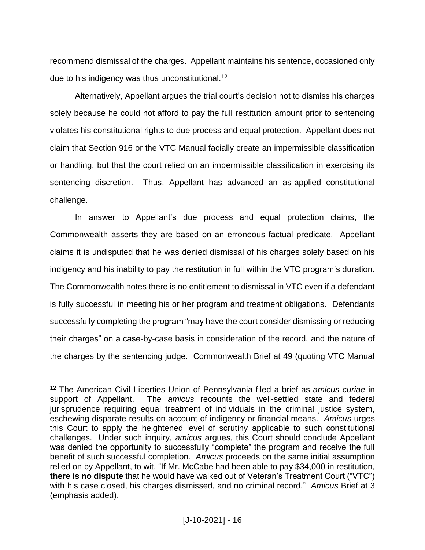recommend dismissal of the charges. Appellant maintains his sentence, occasioned only due to his indigency was thus unconstitutional.<sup>12</sup>

Alternatively, Appellant argues the trial court's decision not to dismiss his charges solely because he could not afford to pay the full restitution amount prior to sentencing violates his constitutional rights to due process and equal protection. Appellant does not claim that Section 916 or the VTC Manual facially create an impermissible classification or handling, but that the court relied on an impermissible classification in exercising its sentencing discretion. Thus, Appellant has advanced an as-applied constitutional challenge.

In answer to Appellant's due process and equal protection claims, the Commonwealth asserts they are based on an erroneous factual predicate. Appellant claims it is undisputed that he was denied dismissal of his charges solely based on his indigency and his inability to pay the restitution in full within the VTC program's duration. The Commonwealth notes there is no entitlement to dismissal in VTC even if a defendant is fully successful in meeting his or her program and treatment obligations. Defendants successfully completing the program "may have the court consider dismissing or reducing their charges" on a case-by-case basis in consideration of the record, and the nature of the charges by the sentencing judge. Commonwealth Brief at 49 (quoting VTC Manual

<sup>12</sup> The American Civil Liberties Union of Pennsylvania filed a brief as *amicus curiae* in support of Appellant. The *amicus* recounts the well-settled state and federal jurisprudence requiring equal treatment of individuals in the criminal justice system, eschewing disparate results on account of indigency or financial means. *Amicus* urges this Court to apply the heightened level of scrutiny applicable to such constitutional challenges. Under such inquiry, *amicus* argues, this Court should conclude Appellant was denied the opportunity to successfully "complete" the program and receive the full benefit of such successful completion. *Amicus* proceeds on the same initial assumption relied on by Appellant, to wit, "If Mr. McCabe had been able to pay \$34,000 in restitution, **there is no dispute** that he would have walked out of Veteran's Treatment Court ("VTC") with his case closed, his charges dismissed, and no criminal record." *Amicus* Brief at 3 (emphasis added).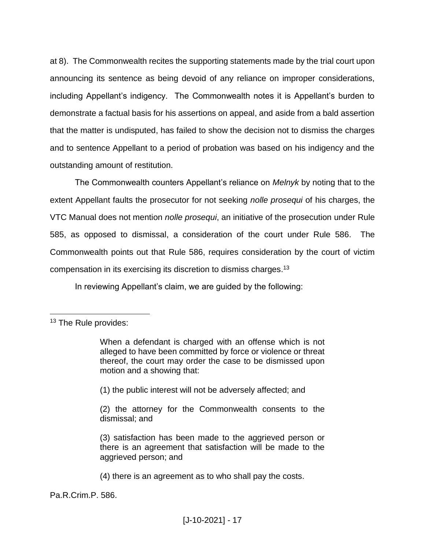at 8). The Commonwealth recites the supporting statements made by the trial court upon announcing its sentence as being devoid of any reliance on improper considerations, including Appellant's indigency. The Commonwealth notes it is Appellant's burden to demonstrate a factual basis for his assertions on appeal, and aside from a bald assertion that the matter is undisputed, has failed to show the decision not to dismiss the charges and to sentence Appellant to a period of probation was based on his indigency and the outstanding amount of restitution.

The Commonwealth counters Appellant's reliance on *Melnyk* by noting that to the extent Appellant faults the prosecutor for not seeking *nolle prosequi* of his charges, the VTC Manual does not mention *nolle prosequi*, an initiative of the prosecution under Rule 585, as opposed to dismissal, a consideration of the court under Rule 586. The Commonwealth points out that Rule 586, requires consideration by the court of victim compensation in its exercising its discretion to dismiss charges.<sup>13</sup>

In reviewing Appellant's claim, we are guided by the following:

 $\overline{a}$ 

(1) the public interest will not be adversely affected; and

(2) the attorney for the Commonwealth consents to the dismissal; and

(4) there is an agreement as to who shall pay the costs.

Pa.R.Crim.P. 586.

<sup>&</sup>lt;sup>13</sup> The Rule provides:

When a defendant is charged with an offense which is not alleged to have been committed by force or violence or threat thereof, the court may order the case to be dismissed upon motion and a showing that:

<sup>(3)</sup> satisfaction has been made to the aggrieved person or there is an agreement that satisfaction will be made to the aggrieved person; and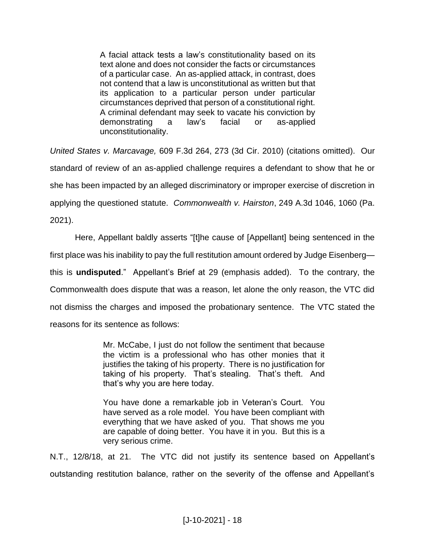A facial attack tests a law's constitutionality based on its text alone and does not consider the facts or circumstances of a particular case. An as-applied attack, in contrast, does not contend that a law is unconstitutional as written but that its application to a particular person under particular circumstances deprived that person of a constitutional right. A criminal defendant may seek to vacate his conviction by demonstrating a law's facial or as-applied unconstitutionality.

*United States v. Marcavage,* 609 F.3d 264, 273 (3d Cir. 2010) (citations omitted). Our standard of review of an as-applied challenge requires a defendant to show that he or she has been impacted by an alleged discriminatory or improper exercise of discretion in applying the questioned statute. *Commonwealth v. Hairston*, 249 A.3d 1046, 1060 (Pa. 2021).

Here, Appellant baldly asserts "[t]he cause of [Appellant] being sentenced in the first place was his inability to pay the full restitution amount ordered by Judge Eisenberg this is **undisputed**." Appellant's Brief at 29 (emphasis added). To the contrary, the Commonwealth does dispute that was a reason, let alone the only reason, the VTC did not dismiss the charges and imposed the probationary sentence. The VTC stated the reasons for its sentence as follows:

> Mr. McCabe, I just do not follow the sentiment that because the victim is a professional who has other monies that it justifies the taking of his property. There is no justification for taking of his property. That's stealing. That's theft. And that's why you are here today.

> You have done a remarkable job in Veteran's Court. You have served as a role model. You have been compliant with everything that we have asked of you. That shows me you are capable of doing better. You have it in you. But this is a very serious crime.

N.T., 12/8/18, at 21. The VTC did not justify its sentence based on Appellant's outstanding restitution balance, rather on the severity of the offense and Appellant's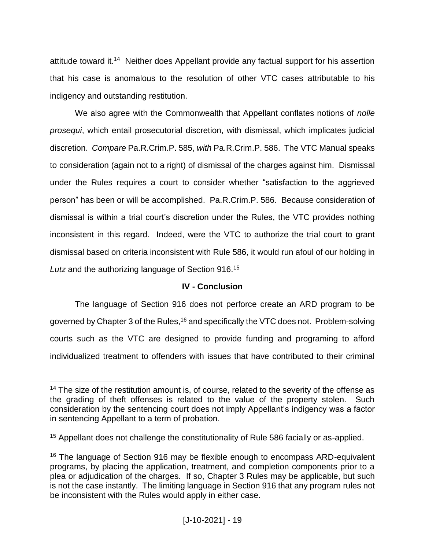attitude toward it.<sup>14</sup> Neither does Appellant provide any factual support for his assertion that his case is anomalous to the resolution of other VTC cases attributable to his indigency and outstanding restitution.

We also agree with the Commonwealth that Appellant conflates notions of *nolle prosequi*, which entail prosecutorial discretion, with dismissal, which implicates judicial discretion. *Compare* Pa.R.Crim.P. 585, *with* Pa.R.Crim.P. 586. The VTC Manual speaks to consideration (again not to a right) of dismissal of the charges against him. Dismissal under the Rules requires a court to consider whether "satisfaction to the aggrieved person" has been or will be accomplished. Pa.R.Crim.P. 586. Because consideration of dismissal is within a trial court's discretion under the Rules, the VTC provides nothing inconsistent in this regard. Indeed, were the VTC to authorize the trial court to grant dismissal based on criteria inconsistent with Rule 586, it would run afoul of our holding in *Lutz* and the authorizing language of Section 916.<sup>15</sup>

## **IV - Conclusion**

The language of Section 916 does not perforce create an ARD program to be governed by Chapter 3 of the Rules,<sup>16</sup> and specifically the VTC does not. Problem-solving courts such as the VTC are designed to provide funding and programing to afford individualized treatment to offenders with issues that have contributed to their criminal

 $14$  The size of the restitution amount is, of course, related to the severity of the offense as the grading of theft offenses is related to the value of the property stolen. Such consideration by the sentencing court does not imply Appellant's indigency was a factor in sentencing Appellant to a term of probation.

<sup>&</sup>lt;sup>15</sup> Appellant does not challenge the constitutionality of Rule 586 facially or as-applied.

<sup>&</sup>lt;sup>16</sup> The language of Section 916 may be flexible enough to encompass ARD-equivalent programs, by placing the application, treatment, and completion components prior to a plea or adjudication of the charges. If so, Chapter 3 Rules may be applicable, but such is not the case instantly. The limiting language in Section 916 that any program rules not be inconsistent with the Rules would apply in either case.